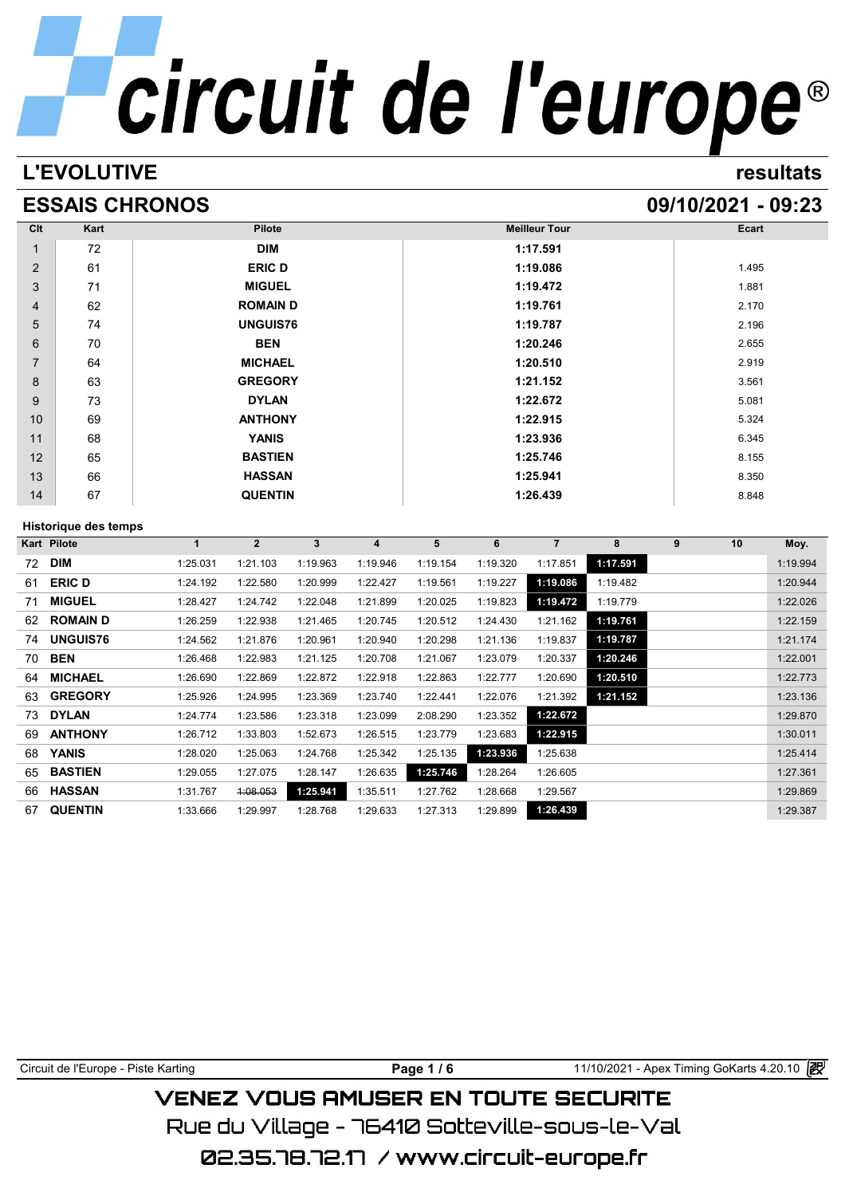# **L'EVOLUTIVE Circuit de l'europe**<sup>®</sup>

## **ESSAIS CHRONOS 09/10/2021 - 09:23**

| Clt            | Kart | <b>Pilote</b>   | <b>Meilleur Tour</b> | Ecart |
|----------------|------|-----------------|----------------------|-------|
| $\mathbf{1}$   | 72   | <b>DIM</b>      | 1:17.591             |       |
| 2              | 61   | <b>ERIC D</b>   | 1:19.086             | 1.495 |
| 3              | 71   | <b>MIGUEL</b>   | 1:19.472             | 1.881 |
| 4              | 62   | <b>ROMAIND</b>  | 1:19.761             | 2.170 |
| 5              | 74   | <b>UNGUIS76</b> | 1:19.787             | 2.196 |
| 6              | 70   | <b>BEN</b>      | 1:20.246             | 2.655 |
| $\overline{7}$ | 64   | <b>MICHAEL</b>  | 1:20.510             | 2.919 |
| 8              | 63   | <b>GREGORY</b>  | 1:21.152             | 3.561 |
| 9              | 73   | <b>DYLAN</b>    | 1:22.672             | 5.081 |
| 10             | 69   | <b>ANTHONY</b>  | 1:22.915             | 5.324 |
| 11             | 68   | <b>YANIS</b>    | 1:23.936             | 6.345 |
| 12             | 65   | <b>BASTIEN</b>  | 1:25.746             | 8.155 |
| 13             | 66   | <b>HASSAN</b>   | 1:25.941             | 8.350 |
| 14             | 67   | <b>QUENTIN</b>  | 1:26.439             | 8.848 |

## **Historique des temps**

|    | Historique des temps |             |              |          |          |          |          |                |          |   |    |          |
|----|----------------------|-------------|--------------|----------|----------|----------|----------|----------------|----------|---|----|----------|
|    | Kart Pilote          | $\mathbf 1$ | $\mathbf{2}$ | 3        | 4        | 5        | 6        | $\overline{7}$ | 8        | 9 | 10 | Moy.     |
| 72 | <b>DIM</b>           | 1:25.031    | 1:21.103     | 1:19.963 | 1:19.946 | 1:19.154 | 1:19.320 | 1:17.851       | 1:17.591 |   |    | 1:19.994 |
| 61 | <b>ERIC D</b>        | 1:24.192    | 1:22.580     | 1:20.999 | 1:22.427 | 1:19.561 | 1:19.227 | 1:19.086       | 1:19.482 |   |    | 1:20.944 |
| 71 | <b>MIGUEL</b>        | 1:28.427    | 1:24.742     | 1:22.048 | 1:21.899 | 1:20.025 | 1:19.823 | 1:19.472       | 1:19.779 |   |    | 1:22.026 |
| 62 | <b>ROMAIN D</b>      | 1:26.259    | 1:22.938     | 1:21.465 | 1:20.745 | 1:20.512 | 1:24.430 | 1:21.162       | 1:19.761 |   |    | 1:22.159 |
| 74 | <b>UNGUIS76</b>      | 1:24.562    | 1:21.876     | 1:20.961 | 1:20.940 | 1:20.298 | 1:21.136 | 1:19.837       | 1:19.787 |   |    | 1:21.174 |
| 70 | <b>BEN</b>           | 1:26.468    | 1:22.983     | 1:21.125 | 1:20.708 | 1:21.067 | 1:23.079 | 1:20.337       | 1:20.246 |   |    | 1:22.001 |
| 64 | <b>MICHAEL</b>       | 1:26.690    | 1:22.869     | 1:22.872 | 1:22.918 | 1:22.863 | 1:22.777 | 1:20.690       | 1:20.510 |   |    | 1:22.773 |
| 63 | <b>GREGORY</b>       | 1:25.926    | 1:24.995     | 1:23.369 | 1:23.740 | 1:22.441 | 1:22.076 | 1:21.392       | 1:21.152 |   |    | 1:23.136 |
| 73 | <b>DYLAN</b>         | 1:24.774    | 1:23.586     | 1:23.318 | 1:23.099 | 2:08.290 | 1:23.352 | 1:22.672       |          |   |    | 1:29.870 |
| 69 | <b>ANTHONY</b>       | 1:26.712    | 1:33.803     | 1:52.673 | 1:26.515 | 1:23.779 | 1:23.683 | 1:22.915       |          |   |    | 1:30.011 |
| 68 | <b>YANIS</b>         | 1:28.020    | 1:25.063     | 1:24.768 | 1:25.342 | 1:25.135 | 1:23.936 | 1:25.638       |          |   |    | 1:25.414 |
| 65 | <b>BASTIEN</b>       | 1:29.055    | 1:27.075     | 1:28.147 | 1:26.635 | 1:25.746 | 1:28.264 | 1:26.605       |          |   |    | 1:27.361 |
| 66 | <b>HASSAN</b>        | 1:31.767    | 4:08.053     | 1:25.941 | 1:35.511 | 1:27.762 | 1:28.668 | 1:29.567       |          |   |    | 1:29.869 |
| 67 | <b>QUENTIN</b>       | 1:33.666    | 1:29.997     | 1:28.768 | 1:29.633 | 1:27.313 | 1:29.899 | 1:26.439       |          |   |    | 1:29.387 |

| Circuit de l'Europe - Piste Karting        | Page $1/6$ | 11/10/2021 - Apex Timing GoKarts 4.20.10 2 |  |  |  |  |  |
|--------------------------------------------|------------|--------------------------------------------|--|--|--|--|--|
| <b>VENEZ VOUS AMUSER EN TOUTE SECURITE</b> |            |                                            |  |  |  |  |  |

Rue du Village – 76410 Sotteville-sous-le-Val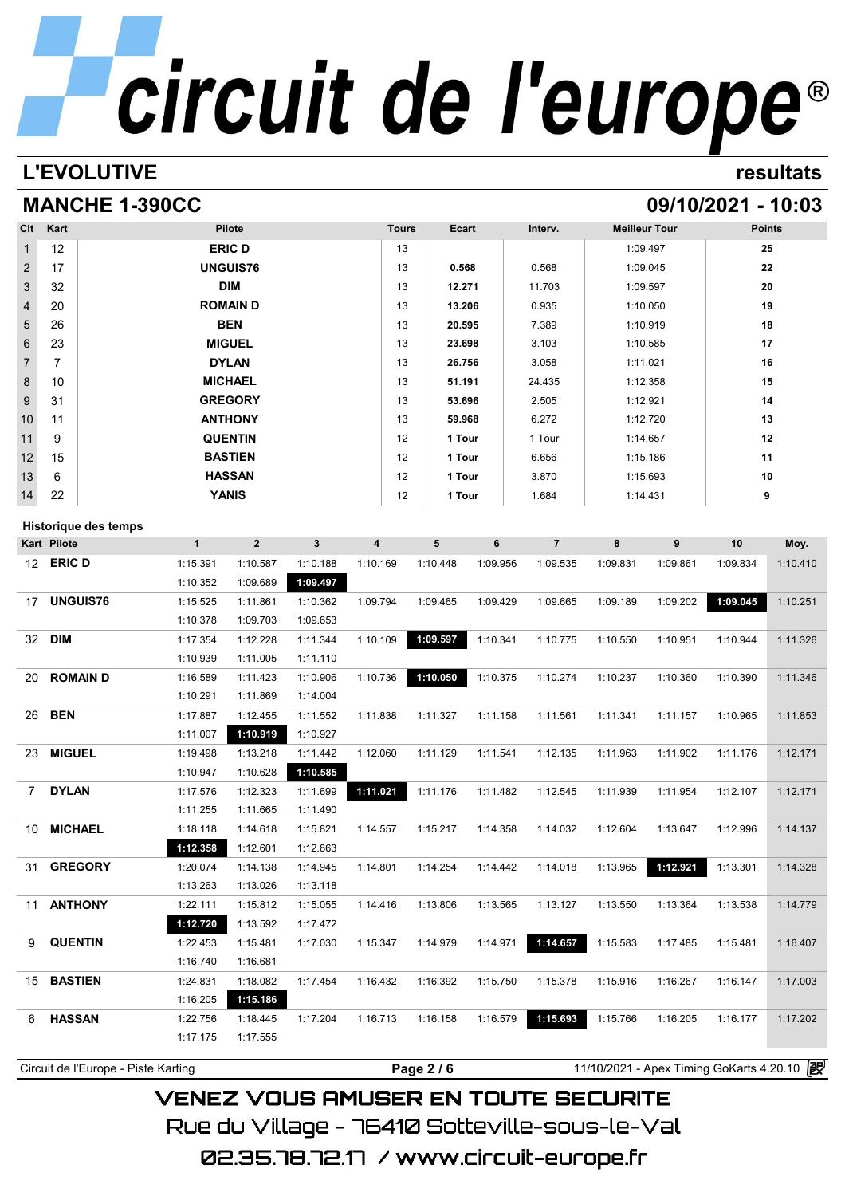## **L'EVOLUTIVE resultats**

## **MANCHE 1-390CC** 09/10/2021 - 10:03

| Clt            | Kart | Pilote          | <b>Tours</b> | Ecart  | Interv. | <b>Meilleur Tour</b> | <b>Points</b> |
|----------------|------|-----------------|--------------|--------|---------|----------------------|---------------|
| $\mathbf{1}$   | 12   | <b>ERIC D</b>   | 13           |        |         | 1:09.497             | 25            |
| $\overline{2}$ | 17   | <b>UNGUIS76</b> | 13           | 0.568  | 0.568   | 1:09.045             | 22            |
| $\mathbf{3}$   | 32   | <b>DIM</b>      | 13           | 12.271 | 11.703  | 1:09.597             | 20            |
| $\overline{4}$ | 20   | <b>ROMAIN D</b> | 13           | 13.206 | 0.935   | 1:10.050             | 19            |
| 5              | 26   | <b>BEN</b>      | 13           | 20.595 | 7.389   | 1:10.919             | 18            |
| $6\phantom{1}$ | 23   | <b>MIGUEL</b>   | 13           | 23.698 | 3.103   | 1:10.585             | 17            |
| $\overline{7}$ | 7    | <b>DYLAN</b>    | 13           | 26.756 | 3.058   | 1:11.021             | 16            |
| 8              | 10   | <b>MICHAEL</b>  | 13           | 51.191 | 24.435  | 1:12.358             | 15            |
| 9              | 31   | <b>GREGORY</b>  | 13           | 53.696 | 2.505   | 1:12.921             | 14            |
| 10             | 11   | <b>ANTHONY</b>  | 13           | 59.968 | 6.272   | 1:12.720             | 13            |
| 11             | 9    | <b>QUENTIN</b>  | 12           | 1 Tour | 1 Tour  | 1:14.657             | 12            |
| 12             | 15   | <b>BASTIEN</b>  | 12           | 1 Tour | 6.656   | 1:15.186             | 11            |
| 13             | 6    | <b>HASSAN</b>   | 12           | 1 Tour | 3.870   | 1:15.693             | 10            |
| 14             | 22   | <b>YANIS</b>    | 12           | 1 Tour | 1.684   | 1:14.431             | 9             |

## **Historique des temps**

|                  | Kart Pilote     | $\mathbf{1}$ | $\overline{2}$ | 3        | 4        | 5        | 6        | $\overline{7}$ | 8        | 9        | 10       | Moy.     |
|------------------|-----------------|--------------|----------------|----------|----------|----------|----------|----------------|----------|----------|----------|----------|
| 12 <sup>12</sup> | <b>ERIC D</b>   | 1:15.391     | 1:10.587       | 1:10.188 | 1:10.169 | 1:10.448 | 1:09.956 | 1:09.535       | 1:09.831 | 1:09.861 | 1:09.834 | 1:10.410 |
|                  |                 | 1:10.352     | 1:09.689       | 1:09.497 |          |          |          |                |          |          |          |          |
| 17               | <b>UNGUIS76</b> | 1:15.525     | 1:11.861       | 1:10.362 | 1:09.794 | 1:09.465 | 1:09.429 | 1:09.665       | 1:09.189 | 1:09.202 | 1:09.045 | 1:10.251 |
|                  |                 | 1:10.378     | 1:09.703       | 1:09.653 |          |          |          |                |          |          |          |          |
| 32               | <b>DIM</b>      | 1:17.354     | 1:12.228       | 1:11.344 | 1:10.109 | 1:09.597 | 1:10.341 | 1:10.775       | 1:10.550 | 1:10.951 | 1:10.944 | 1:11.326 |
|                  |                 | 1:10.939     | 1:11.005       | 1:11.110 |          |          |          |                |          |          |          |          |
| 20               | <b>ROMAIND</b>  | 1:16.589     | 1:11.423       | 1:10.906 | 1:10.736 | 1:10.050 | 1:10.375 | 1:10.274       | 1:10.237 | 1:10.360 | 1:10.390 | 1:11.346 |
|                  |                 | 1:10.291     | 1:11.869       | 1:14.004 |          |          |          |                |          |          |          |          |
| 26               | <b>BEN</b>      | 1:17.887     | 1:12.455       | 1:11.552 | 1:11.838 | 1:11.327 | 1:11.158 | 1:11.561       | 1:11.341 | 1:11.157 | 1:10.965 | 1:11.853 |
|                  |                 | 1:11.007     | 1:10.919       | 1:10.927 |          |          |          |                |          |          |          |          |
| 23               | <b>MIGUEL</b>   | 1:19.498     | 1:13.218       | 1:11.442 | 1:12.060 | 1:11.129 | 1:11.541 | 1:12.135       | 1:11.963 | 1:11.902 | 1:11.176 | 1:12.171 |
|                  |                 | 1:10.947     | 1:10.628       | 1:10.585 |          |          |          |                |          |          |          |          |
| $7^{\circ}$      | <b>DYLAN</b>    | 1:17.576     | 1:12.323       | 1:11.699 | 1:11.021 | 1:11.176 | 1:11.482 | 1:12.545       | 1:11.939 | 1:11.954 | 1:12.107 | 1:12.171 |
|                  |                 | 1:11.255     | 1:11.665       | 1:11.490 |          |          |          |                |          |          |          |          |
| 10               | <b>MICHAEL</b>  | 1:18.118     | 1:14.618       | 1:15.821 | 1:14.557 | 1:15.217 | 1:14.358 | 1:14.032       | 1:12.604 | 1:13.647 | 1:12.996 | 1:14.137 |
|                  |                 | 1:12.358     | 1:12.601       | 1:12.863 |          |          |          |                |          |          |          |          |
| 31               | <b>GREGORY</b>  | 1:20.074     | 1:14.138       | 1:14.945 | 1:14.801 | 1:14.254 | 1:14.442 | 1:14.018       | 1:13.965 | 1:12.921 | 1:13.301 | 1:14.328 |
|                  |                 | 1:13.263     | 1:13.026       | 1:13.118 |          |          |          |                |          |          |          |          |
| 11               | <b>ANTHONY</b>  | 1:22.111     | 1:15.812       | 1:15.055 | 1:14.416 | 1:13.806 | 1:13.565 | 1:13.127       | 1:13.550 | 1:13.364 | 1:13.538 | 1:14.779 |
|                  |                 | 1:12.720     | 1:13.592       | 1:17.472 |          |          |          |                |          |          |          |          |
| 9                | <b>QUENTIN</b>  | 1:22.453     | 1:15.481       | 1:17.030 | 1:15.347 | 1:14.979 | 1:14.971 | 1:14.657       | 1:15.583 | 1:17.485 | 1:15.481 | 1:16.407 |
|                  |                 | 1:16.740     | 1:16.681       |          |          |          |          |                |          |          |          |          |
| 15               | <b>BASTIEN</b>  | 1:24.831     | 1:18.082       | 1:17.454 | 1:16.432 | 1:16.392 | 1:15.750 | 1:15.378       | 1:15.916 | 1:16.267 | 1:16.147 | 1:17.003 |
|                  |                 | 1:16.205     | 1:15.186       |          |          |          |          |                |          |          |          |          |
| 6                | <b>HASSAN</b>   | 1:22.756     | 1:18.445       | 1:17.204 | 1:16.713 | 1:16.158 | 1:16.579 | 1:15.693       | 1:15.766 | 1:16.205 | 1:16.177 | 1:17.202 |
|                  |                 | 1:17.175     | 1:17.555       |          |          |          |          |                |          |          |          |          |

**VENEZ VOUS AMUSER EN TOUTE SECURITE** Rue du Village – 76410 Sotteville-sous-le-Val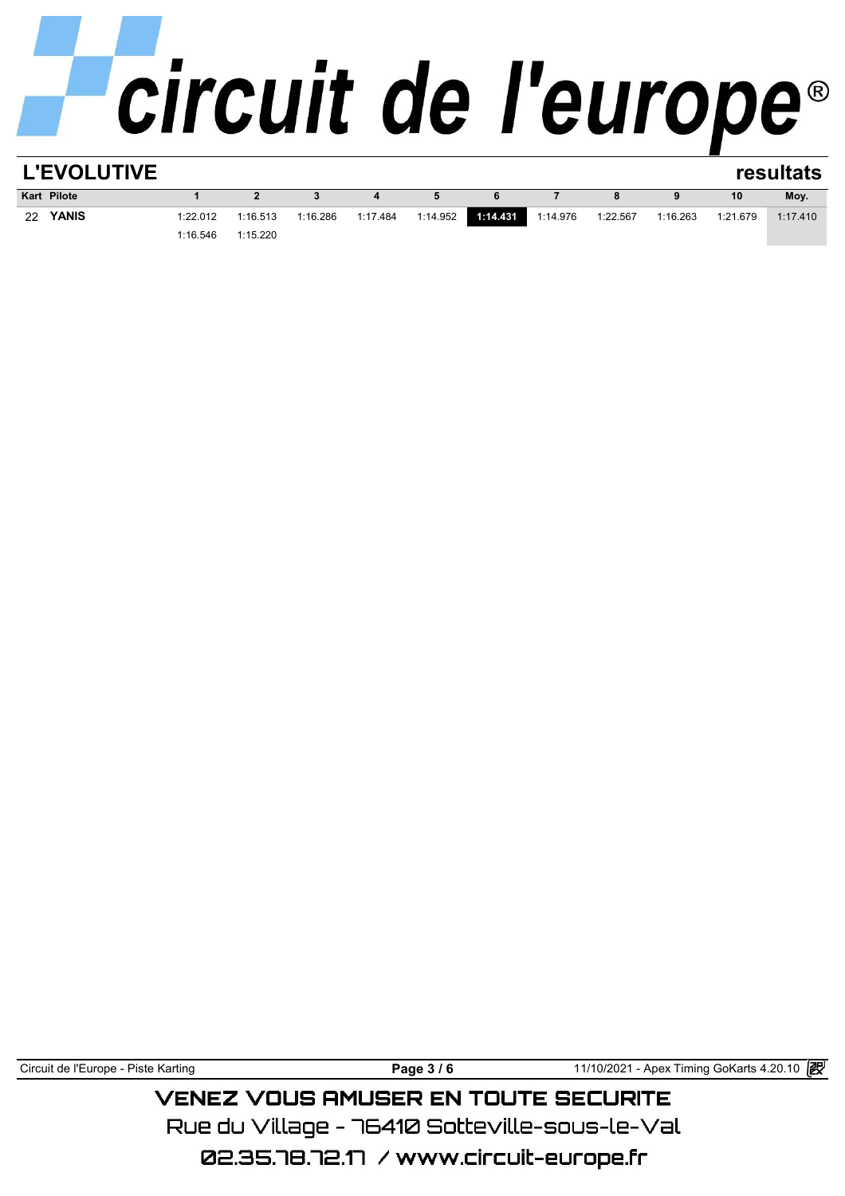| <b>L'EVOLUTIVE</b> |          |              |          |          |          |          |          |          |          |          | resultats |
|--------------------|----------|--------------|----------|----------|----------|----------|----------|----------|----------|----------|-----------|
| <b>Kart Pilote</b> |          | $\mathbf{2}$ |          | 4        | 5        | 6        |          | 8        | 9        | 10       | Moy.      |
| <b>YANIS</b><br>22 | 1:22.012 | 1:16.513     | 1:16.286 | 1:17.484 | 1:14.952 | 1:14.431 | 1:14.976 | 1:22.567 | 1:16.263 | 1:21.679 | 1:17.410  |
|                    | 1:16.546 | 1:15.220     |          |          |          |          |          |          |          |          |           |
|                    |          |              |          |          |          |          |          |          |          |          |           |

Circuit de l'Europe - Piste Karting **Page 3 / 6 Page 3 / 6** 11/10/2021 - Apex Timing GoKarts 4.20.10 图

## **VENEZ VOUS AMUSER EN TOUTE SECURITE**

Rue du Village – 76410 Sotteville-sous-le-Val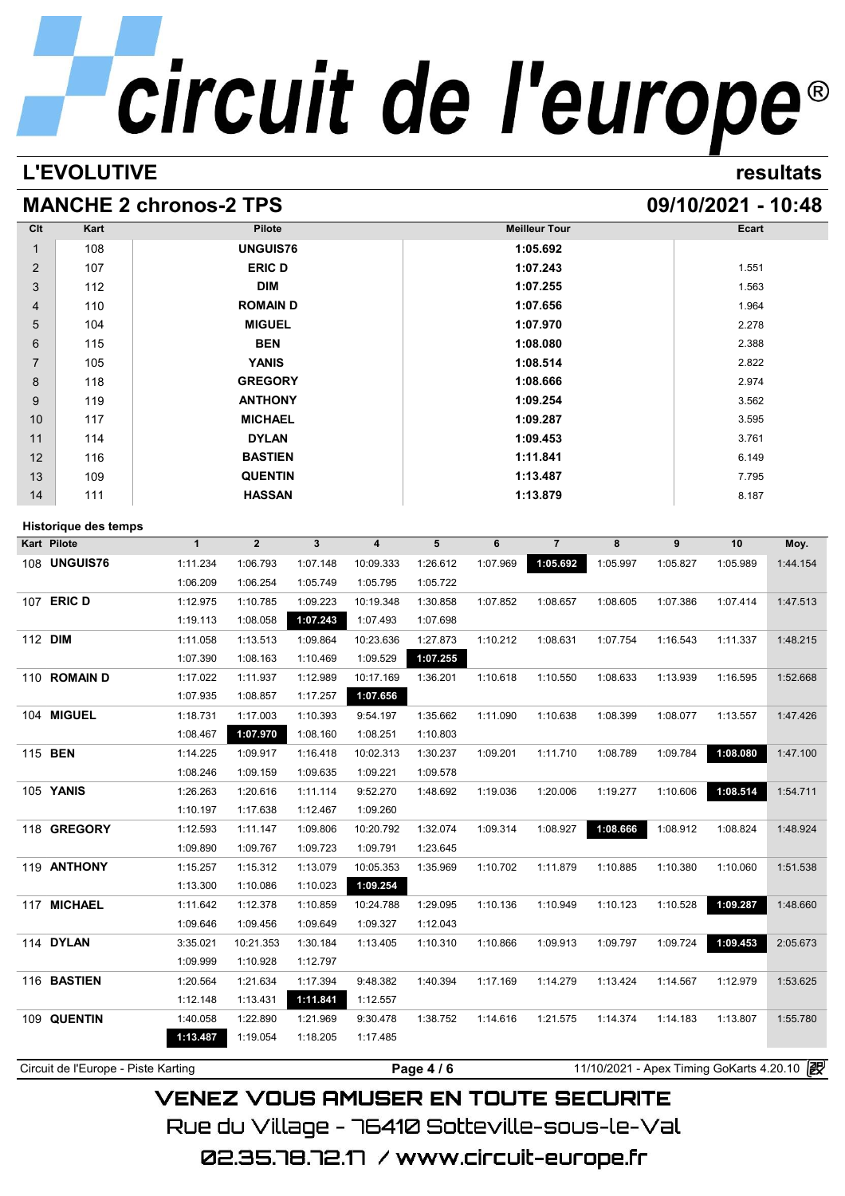## **L'EVOLUTIVE resultats**

## **MANCHE 2 chronos-2 TPS 09/10/2021 - 10:48**

| Clt            | Kart                        |                      | <b>Pilote</b>        |                      |                       |                      |          | <b>Meilleur Tour</b> |          |          | Ecart    |                                                          |  |
|----------------|-----------------------------|----------------------|----------------------|----------------------|-----------------------|----------------------|----------|----------------------|----------|----------|----------|----------------------------------------------------------|--|
| 1              | 108                         |                      | <b>UNGUIS76</b>      |                      |                       | 1:05.692             |          |                      |          |          |          |                                                          |  |
| 2              | 107                         |                      | <b>ERIC D</b>        |                      |                       |                      |          | 1:07.243             |          |          | 1.551    |                                                          |  |
| 3              | 112                         |                      | <b>DIM</b>           |                      |                       | 1:07.255             |          |                      |          |          | 1.563    |                                                          |  |
| 4              | 110                         |                      | <b>ROMAIND</b>       |                      |                       | 1:07.656             |          |                      |          |          | 1.964    |                                                          |  |
| 5              | 104                         |                      | <b>MIGUEL</b>        |                      |                       |                      |          | 1:07.970             |          |          | 2.278    |                                                          |  |
| 6              | 115                         |                      | <b>BEN</b>           |                      |                       |                      |          | 1:08.080             |          |          | 2.388    |                                                          |  |
| 7              | 105                         |                      | <b>YANIS</b>         |                      |                       |                      |          | 1:08.514             |          |          | 2.822    |                                                          |  |
| 8              | 118                         |                      | <b>GREGORY</b>       |                      |                       |                      |          | 1:08.666             |          |          | 2.974    |                                                          |  |
| 9              | 119                         |                      | <b>ANTHONY</b>       |                      |                       |                      |          | 1:09.254             |          |          | 3.562    |                                                          |  |
| 10             | 117                         |                      | <b>MICHAEL</b>       |                      |                       |                      |          | 1:09.287             |          |          | 3.595    |                                                          |  |
| 11             | 114                         |                      | <b>DYLAN</b>         |                      |                       |                      |          | 1:09.453             |          |          | 3.761    |                                                          |  |
| 12             | 116                         |                      | <b>BASTIEN</b>       |                      |                       |                      |          | 1:11.841             |          |          | 6.149    |                                                          |  |
| 13             | 109                         |                      | <b>QUENTIN</b>       |                      |                       |                      |          | 1:13.487             |          |          | 7.795    |                                                          |  |
| 14             | 111                         |                      | <b>HASSAN</b>        |                      |                       |                      |          | 1:13.879             |          |          | 8.187    |                                                          |  |
|                |                             |                      |                      |                      |                       |                      |          |                      |          |          |          |                                                          |  |
| Kart Pilote    | <b>Historique des temps</b> | $\mathbf{1}$         | $\overline{2}$       | $\mathbf{3}$         | 4                     | 5                    | 6        | $\overline{7}$       | 8        | 9        | 10       | Moy.                                                     |  |
|                | 108 <b>UNGUIS76</b>         | 1:11.234             |                      | 1:07.148             |                       | 1:26.612             | 1:07.969 | 1:05.692             | 1:05.997 |          | 1:05.989 | 1:44.154                                                 |  |
|                |                             | 1:06.209             | 1:06.793<br>1:06.254 | 1:05.749             | 10:09.333<br>1:05.795 | 1:05.722             |          |                      |          | 1:05.827 |          |                                                          |  |
|                | 107 ERIC D                  |                      |                      |                      |                       |                      |          |                      |          |          |          |                                                          |  |
|                |                             | 1:12.975             | 1:10.785             | 1:09.223<br>1:07.243 | 10:19.348<br>1:07.493 | 1:30.858<br>1:07.698 | 1:07.852 | 1:08.657             | 1:08.605 | 1:07.386 | 1:07.414 | 1:47.513                                                 |  |
| 112 DIM        |                             | 1:19.113<br>1:11.058 | 1:08.058             | 1:09.864             |                       | 1:27.873             | 1:10.212 | 1:08.631             |          |          |          | 1:48.215                                                 |  |
|                |                             | 1:07.390             | 1:13.513<br>1:08.163 | 1:10.469             | 10:23.636<br>1:09.529 | 1:07.255             |          |                      | 1:07.754 | 1:16.543 | 1:11.337 |                                                          |  |
|                |                             |                      |                      |                      |                       |                      |          |                      |          |          |          |                                                          |  |
|                | 110 ROMAIN D                | 1:17.022             | 1:11.937             | 1:12.989             | 10:17.169             | 1:36.201             | 1:10.618 | 1:10.550             | 1:08.633 | 1:13.939 | 1:16.595 | 1:52.668                                                 |  |
|                |                             | 1:07.935             | 1:08.857             | 1:17.257             | 1:07.656              |                      |          |                      |          |          |          |                                                          |  |
|                | 104 MIGUEL                  | 1:18.731             | 1:17.003             | 1:10.393             | 9:54.197              | 1:35.662             | 1:11.090 | 1:10.638             | 1:08.399 | 1:08.077 | 1:13.557 | 1:47.426                                                 |  |
|                |                             | 1:08.467             | 1:07.970             | 1:08.160             | 1:08.251              | 1:10.803             |          |                      |          |          |          |                                                          |  |
| 115 <b>BEN</b> |                             | 1:14.225             | 1:09.917             | 1:16.418             | 10:02.313             | 1:30.237             | 1:09.201 | 1:11.710             | 1:08.789 | 1:09.784 | 1:08.080 | 1:47.100                                                 |  |
|                |                             | 1:08.246             | 1:09.159             | 1:09.635             | 1:09.221              | 1:09.578             |          |                      |          |          |          |                                                          |  |
|                | 105 YANIS                   | 1:26.263             | 1:20.616             | 1:11.114             | 9:52.270              | 1:48.692             | 1:19.036 | 1:20.006             | 1:19.277 | 1:10.606 | 1:08.514 | 1:54.711                                                 |  |
|                |                             | 1:10.197             | 1:17.638             | 1:12.467             | 1:09.260              |                      |          |                      |          |          |          |                                                          |  |
|                |                             |                      |                      |                      |                       |                      |          |                      |          |          |          |                                                          |  |
|                | 118 GREGORY                 | 1:12.593             | 1:11.147             | 1:09.806             | 10:20.792             | 1:32.074             | 1:09.314 | 1:08.927             | 1:08.666 | 1:08.912 | 1:08.824 | 1:48.924                                                 |  |
|                |                             | 1:09.890             | 1:09.767             | 1:09.723             | 1:09.791              | 1:23.645             |          |                      |          |          |          |                                                          |  |
|                | 119 ANTHONY                 | 1:15.257             | 1:15.312             | 1:13.079             | 10:05.353             | 1:35.969             | 1:10.702 | 1:11.879             | 1:10.885 | 1:10.380 | 1:10.060 |                                                          |  |
|                |                             | 1:13.300             | 1:10.086             | 1:10.023             | 1:09.254              |                      |          |                      |          |          |          |                                                          |  |
|                | 117 MICHAEL                 | 1:11.642             | 1:12.378             | 1:10.859             | 10:24.788             | 1:29.095             | 1:10.136 | 1:10.949             | 1:10.123 | 1:10.528 | 1:09.287 |                                                          |  |
|                |                             | 1:09.646             | 1:09.456             | 1:09.649             | 1:09.327              | 1:12.043             |          |                      |          |          |          |                                                          |  |
|                | 114 DYLAN                   | 3:35.021             | 10:21.353            | 1:30.184             | 1:13.405              | 1:10.310             | 1:10.866 | 1:09.913             | 1:09.797 | 1:09.724 | 1:09.453 |                                                          |  |
|                |                             | 1:09.999             | 1:10.928             | 1:12.797             |                       |                      |          |                      |          |          |          |                                                          |  |
|                | 116 BASTIEN                 | 1:20.564             | 1:21.634             | 1:17.394             | 9:48.382              | 1:40.394             | 1:17.169 | 1:14.279             | 1:13.424 | 1:14.567 | 1:12.979 |                                                          |  |
|                |                             | 1:12.148             | 1:13.431             | 1:11.841             | 1:12.557              |                      |          |                      |          |          |          |                                                          |  |
|                | 109 QUENTIN                 | 1:40.058<br>1:13.487 | 1:22.890<br>1:19.054 | 1:21.969<br>1:18.205 | 9:30.478<br>1:17.485  | 1:38.752             | 1:14.616 | 1:21.575             | 1:14.374 | 1:14.183 | 1:13.807 | 1:51.538<br>1:48.660<br>2:05.673<br>1:53.625<br>1:55.780 |  |

**VENEZ VOUS AMUSER EN TOUTE SECURITE** Rue du Village – 76410 Sotteville-sous-le-Val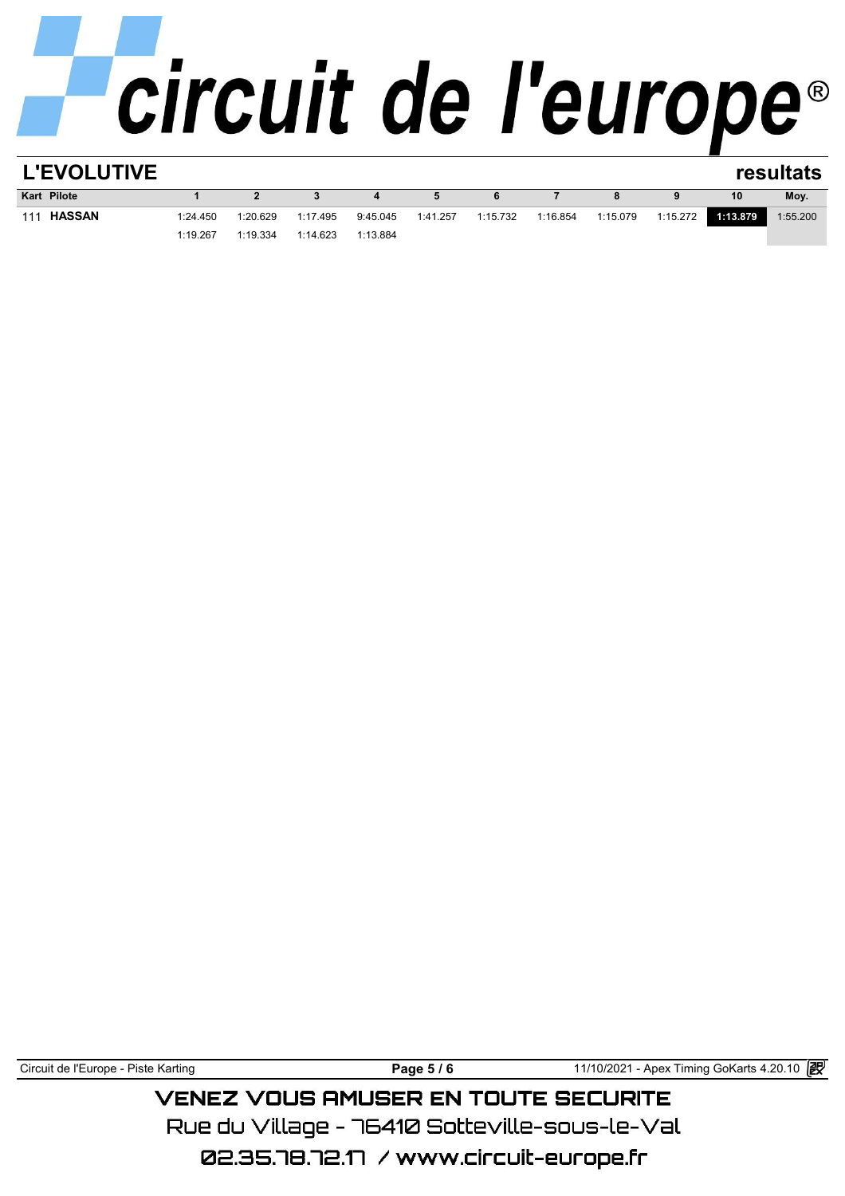| <b>L'EVOLUTIVE</b>   |          |          |          |          |          |          |          |          |          |          | resultats |
|----------------------|----------|----------|----------|----------|----------|----------|----------|----------|----------|----------|-----------|
| <b>Kart Pilote</b>   |          | 2        |          |          | 5        | 6        |          | 8        | 9        | 10       | Moy.      |
| <b>HASSAN</b><br>111 | 1:24.450 | 1:20.629 | 1:17.495 | 9:45.045 | 1:41.257 | 1:15.732 | 1:16.854 | 1:15.079 | 1:15.272 | 1:13.879 | 1:55.200  |
|                      | 1:19.267 | 1:19.334 | 1:14.623 | 1:13.884 |          |          |          |          |          |          |           |
|                      |          |          |          |          |          |          |          |          |          |          |           |

Circuit de l'Europe - Piste Karting **Page 5 / 6 Page 5 / 6** 11/10/2021 - Apex Timing GoKarts 4.20.10 图

## **VENEZ VOUS AMUSER EN TOUTE SECURITE**

Rue du Village – 76410 Sotteville-sous-le-Val